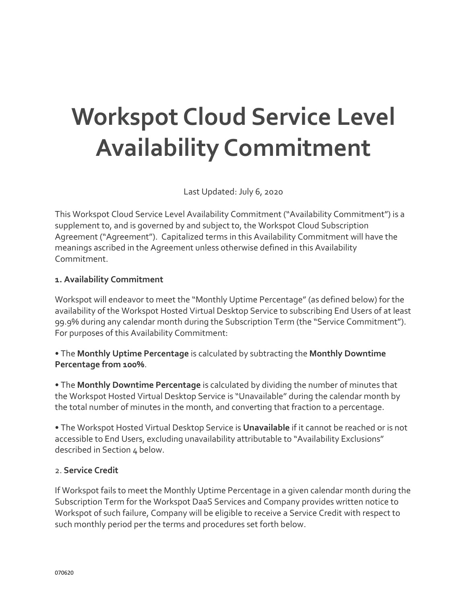# **Workspot Cloud Service Level Availability Commitment**

Last Updated: July 6, 2020

This Workspot Cloud Service Level Availability Commitment ("Availability Commitment") is a supplement to, and is governed by and subject to, the Workspot Cloud Subscription Agreement ("Agreement"). Capitalized terms in this Availability Commitment will have the meanings ascribed in the Agreement unless otherwise defined in this Availability Commitment.

#### **1. Availability Commitment**

Workspot will endeavor to meet the "Monthly Uptime Percentage" (as defined below) for the availability of the Workspot Hosted Virtual Desktop Service to subscribing End Users of at least 99.9% during any calendar month during the Subscription Term (the "Service Commitment"). For purposes of this Availability Commitment:

• The **Monthly Uptime Percentage** is calculated by subtracting the **Monthly Downtime Percentage from 100%**.

• The **Monthly Downtime Percentage** is calculated by dividing the number of minutes that the Workspot Hosted Virtual Desktop Service is "Unavailable" during the calendar month by the total number of minutes in the month, and converting that fraction to a percentage.

• The Workspot Hosted Virtual Desktop Service is **Unavailable** if it cannot be reached or is not accessible to End Users, excluding unavailability attributable to "Availability Exclusions" described in Section 4 below.

#### 2. **Service Credit**

If Workspot fails to meet the Monthly Uptime Percentage in a given calendar month during the Subscription Term for the Workspot DaaS Services and Company provides written notice to Workspot of such failure, Company will be eligible to receive a Service Credit with respect to such monthly period per the terms and procedures set forth below.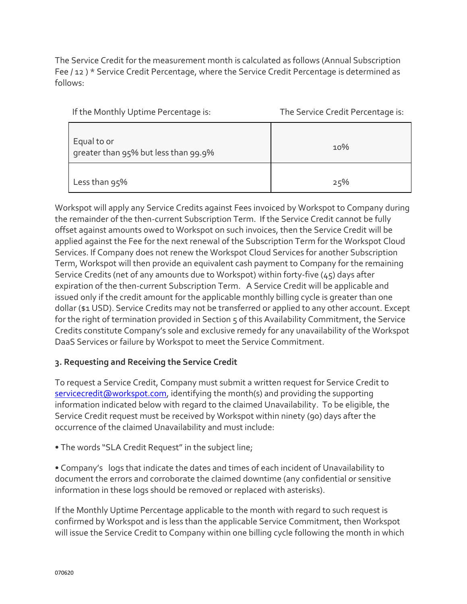The Service Credit for the measurement month is calculated as follows (Annual Subscription Fee / 12 ) \* Service Credit Percentage, where the Service Credit Percentage is determined as follows:

| If the Monthly Uptime Percentage is:                | The Service Credit Percentage is: |
|-----------------------------------------------------|-----------------------------------|
| Equal to or<br>greater than 95% but less than 99.9% | 10%                               |

| __            |     |
|---------------|-----|
|               |     |
|               |     |
| Less than 95% | 25% |

Workspot will apply any Service Credits against Fees invoiced by Workspot to Company during the remainder of the then-current Subscription Term. If the Service Credit cannot be fully offset against amounts owed to Workspot on such invoices, then the Service Credit will be applied against the Fee for the next renewal of the Subscription Term for the Workspot Cloud Services. If Company does not renew the Workspot Cloud Services for another Subscription Term, Workspot will then provide an equivalent cash payment to Company for the remaining Service Credits (net of any amounts due to Workspot) within forty-five (45) days after expiration of the then-current Subscription Term. A Service Credit will be applicable and issued only if the credit amount for the applicable monthly billing cycle is greater than one dollar (\$1 USD). Service Credits may not be transferred or applied to any other account. Except for the right of termination provided in Section 5 of this Availability Commitment, the Service Credits constitute Company's sole and exclusive remedy for any unavailability of the Workspot DaaS Services or failure by Workspot to meet the Service Commitment.

## **3. Requesting and Receiving the Service Credit**

To request a Service Credit, Company must submit a written request for Service Credit to [servicecredit@workspot.com,](mailto:servicecredit@workspot.com) identifying the month(s) and providing the supporting information indicated below with regard to the claimed Unavailability. To be eligible, the Service Credit request must be received by Workspot within ninety (90) days after the occurrence of the claimed Unavailability and must include:

• The words "SLA Credit Request" in the subject line;

• Company's logs that indicate the dates and times of each incident of Unavailability to document the errors and corroborate the claimed downtime (any confidential or sensitive information in these logs should be removed or replaced with asterisks).

If the Monthly Uptime Percentage applicable to the month with regard to such request is confirmed by Workspot and is less than the applicable Service Commitment, then Workspot will issue the Service Credit to Company within one billing cycle following the month in which